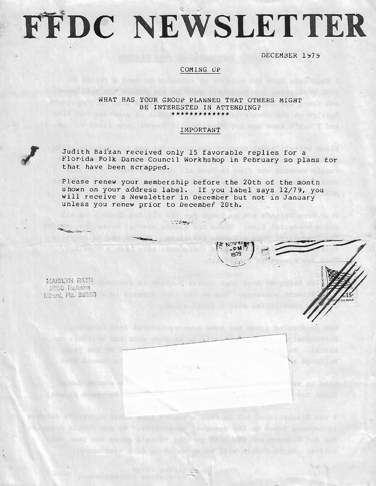# FFDC NEWSLETTER

DECEMBER 1979

# COMING UP

### WHAT HAS YOUR GROUP PLANNED THAT OTHERS MIGHT BE INTERESTED IN ATTENDING? \*\*\*\*\*\*\*\*\*\*\*

## IMPORTANT

Judith Baizan received only 15 favorable replies for a Florida Folk Dance Council Workhshop in February so plans for that have been scrapped.

 $\mathbb{R}^2$ 

 $-1$ 

Please renew your membership before the 20th of the month shown on your address label. If you label says 12/79, you will receive a Newsletter in December but not in January unless you renew prior to December 20th.

**STORY BARRY** 

MARILYN RATH 5000 Natema Miemi, Fla. 33133

·-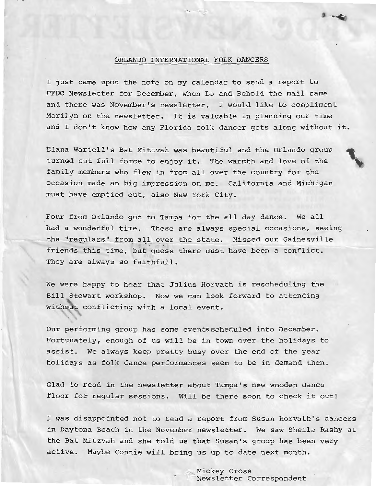### ORLANDO INTERNATIONAL FOLK DANCERS

I just came upon the note on my calendar to send a report to FFDC Newsletter for December, when Lo and Behold the mail came and there was November's newsletter. I would like to compliment Marilyn on the newsletter. It is valuable in planning our time and I don't know how any Florida folk dancer gets along without it.

Elana Wartell's Bat Mitzvah was beautiful and the Orlando group turned out full force to enjoy it. The warmth and love of the family members who flew in from all over the country for the occasion made an big impression on me. California and Michigan must have emptied out, also New York City.

Four from Orlando got to Tampa for the all day dance. We all had a wonderful time. These are always special occasions, seeing the "regulars" from all over the state. Missed our Gainesville friends this time, but guess there must have been a conflict. They are always so faithfull.

We were happy to hear that Julius Horvath is rescheduling the Bill Stewart workshop. Now we can look forward to attending withou± conflicting with a local event.

Our performing group has some eventsscheduled into December. Fortunately, enough of us will be in town over the holidays to assist. We always keep pretty busy over the end of the year holidays as folk dance performances seem to be in demand then.

Glad to read in the newsletter about Tampa's new wooden dance floor for regular sessions. Will be there soon to check it out!

I was disappointed not to read a report from Susan Horvath's dancers in Daytona Beach in the November newsletter. We saw Sheila Rashy at the Bat Mitzvah and she told us that Susan's group has been very active. Maybe Connie will bring us up to date next month.

> Mickey Cross Newsletter Correspondent